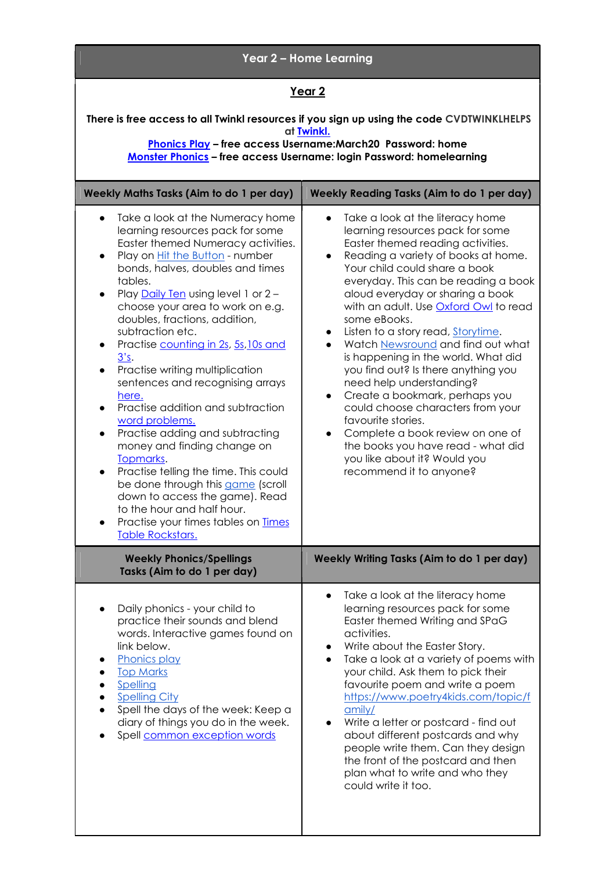| Year 2 - Home Learning                                                                                                                                                                                                                                                                                                                                                                                                                                                                                                                                                                                                                                                                                                                                                                                                                                                                                                            |                                                                                                                                                                                                                                                                                                                                                                                                                                                                                                                                                                                                                                                                                                                                                                                                                                    |
|-----------------------------------------------------------------------------------------------------------------------------------------------------------------------------------------------------------------------------------------------------------------------------------------------------------------------------------------------------------------------------------------------------------------------------------------------------------------------------------------------------------------------------------------------------------------------------------------------------------------------------------------------------------------------------------------------------------------------------------------------------------------------------------------------------------------------------------------------------------------------------------------------------------------------------------|------------------------------------------------------------------------------------------------------------------------------------------------------------------------------------------------------------------------------------------------------------------------------------------------------------------------------------------------------------------------------------------------------------------------------------------------------------------------------------------------------------------------------------------------------------------------------------------------------------------------------------------------------------------------------------------------------------------------------------------------------------------------------------------------------------------------------------|
| <u>Year 2</u>                                                                                                                                                                                                                                                                                                                                                                                                                                                                                                                                                                                                                                                                                                                                                                                                                                                                                                                     |                                                                                                                                                                                                                                                                                                                                                                                                                                                                                                                                                                                                                                                                                                                                                                                                                                    |
| There is free access to all Twinkl resources if you sign up using the code CVDTWINKLHELPS<br>at <b>Twinkl.</b><br><b>Phonics Play</b> - free access Username: March 20 Password: home<br>Monster Phonics - free access Username: login Password: homelearning                                                                                                                                                                                                                                                                                                                                                                                                                                                                                                                                                                                                                                                                     |                                                                                                                                                                                                                                                                                                                                                                                                                                                                                                                                                                                                                                                                                                                                                                                                                                    |
| <b>Weekly Maths Tasks (Aim to do 1 per day)</b>                                                                                                                                                                                                                                                                                                                                                                                                                                                                                                                                                                                                                                                                                                                                                                                                                                                                                   | <b>Weekly Reading Tasks (Aim to do 1 per day)</b>                                                                                                                                                                                                                                                                                                                                                                                                                                                                                                                                                                                                                                                                                                                                                                                  |
| Take a look at the Numeracy home<br>$\bullet$<br>learning resources pack for some<br>Easter themed Numeracy activities.<br>Play on <b>Hit the Button</b> - number<br>$\bullet$<br>bonds, halves, doubles and times<br>tables.<br>Play Daily Ten using level 1 or 2 -<br>$\bullet$<br>choose your area to work on e.g.<br>doubles, fractions, addition,<br>subtraction etc.<br>Practise counting in 2s, 5s, 10s and<br>$\bullet$<br>3's.<br>Practise writing multiplication<br>$\bullet$<br>sentences and recognising arrays<br>here.<br>Practise addition and subtraction<br>$\bullet$<br>word problems.<br>Practise adding and subtracting<br>$\bullet$<br>money and finding change on<br>Topmarks.<br>Practise telling the time. This could<br>$\bullet$<br>be done through this game (scroll<br>down to access the game). Read<br>to the hour and half hour.<br>Practise your times tables on Times<br><b>Table Rockstars.</b> | Take a look at the literacy home<br>$\bullet$<br>learning resources pack for some<br>Easter themed reading activities.<br>Reading a variety of books at home.<br>$\bullet$<br>Your child could share a book<br>everyday. This can be reading a book<br>aloud everyday or sharing a book<br>with an adult. Use <b>Oxford Owl</b> to read<br>some eBooks.<br>Listen to a story read, Storytime.<br>$\bullet$<br>Watch Newsround and find out what<br>$\bullet$<br>is happening in the world. What did<br>you find out? Is there anything you<br>need help understanding?<br>Create a bookmark, perhaps you<br>$\bullet$<br>could choose characters from your<br>favourite stories.<br>Complete a book review on one of<br>$\bullet$<br>the books you have read - what did<br>you like about it? Would you<br>recommend it to anyone? |
| <b>Weekly Phonics/Spellings</b><br>Tasks (Aim to do 1 per day)                                                                                                                                                                                                                                                                                                                                                                                                                                                                                                                                                                                                                                                                                                                                                                                                                                                                    | Weekly Writing Tasks (Aim to do 1 per day)                                                                                                                                                                                                                                                                                                                                                                                                                                                                                                                                                                                                                                                                                                                                                                                         |
| Daily phonics - your child to<br>practice their sounds and blend<br>words. Interactive games found on<br>link below.<br><b>Phonics play</b><br><b>Top Marks</b><br>Spelling<br><b>Spelling City</b><br>Spell the days of the week: Keep a<br>diary of things you do in the week.<br>Spell common exception words                                                                                                                                                                                                                                                                                                                                                                                                                                                                                                                                                                                                                  | Take a look at the literacy home<br>$\bullet$<br>learning resources pack for some<br>Easter themed Writing and SPaG<br>activities.<br>Write about the Easter Story.<br>Take a look at a variety of poems with<br>your child. Ask them to pick their<br>favourite poem and write a poem<br>https://www.poetry4kids.com/topic/f<br>amily/<br>Write a letter or postcard - find out<br>about different postcards and why<br>people write them. Can they design<br>the front of the postcard and then<br>plan what to write and who they<br>could write it too.                                                                                                                                                                                                                                                                        |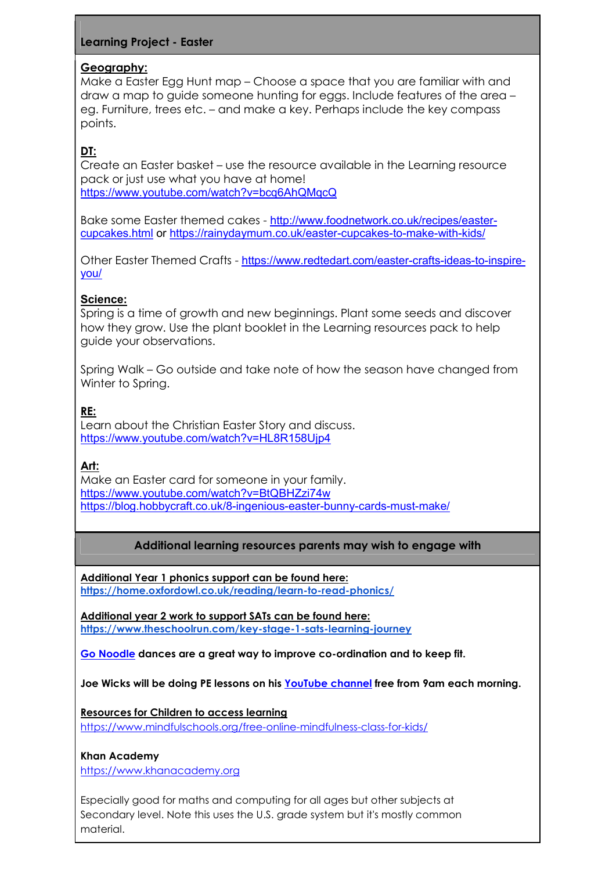# Learning Project - Easter

## Geography:

Make a Easter Egg Hunt map – Choose a space that you are familiar with and draw a map to guide someone hunting for eggs. Include features of the area – eg. Furniture, trees etc. – and make a key. Perhaps include the key compass points.

# DT:

Create an Easter basket – use the resource available in the Learning resource pack or just use what you have at home! https://www.youtube.com/watch?v=bcq6AhQMqcQ

Bake some Easter themed cakes - http://www.foodnetwork.co.uk/recipes/eastercupcakes.html or https://rainydaymum.co.uk/easter-cupcakes-to-make-with-kids/

Other Easter Themed Crafts - https://www.redtedart.com/easter-crafts-ideas-to-inspireyou/

# Science:

Spring is a time of growth and new beginnings. Plant some seeds and discover how they grow. Use the plant booklet in the Learning resources pack to help guide your observations.

Spring Walk – Go outside and take note of how the season have changed from Winter to Spring.

# RE:

Learn about the Christian Easter Story and discuss. https://www.youtube.com/watch?v=HL8R158Ujp4

# Art:

Make an Easter card for someone in your family. https://www.youtube.com/watch?v=BtQBHZzi74w https://blog.hobbycraft.co.uk/8-ingenious-easter-bunny-cards-must-make/

## Additional learning resources parents may wish to engage with

Additional Year 1 phonics support can be found here: https://home.oxfordowl.co.uk/reading/learn-to-read-phonics/

Additional year 2 work to support SATs can be found here: https://www.theschoolrun.com/key-stage-1-sats-learning-journey

Go Noodle dances are a great way to improve co-ordination and to keep fit.

Joe Wicks will be doing PE lessons on his YouTube channel free from 9am each morning.

Resources for Children to access learning https://www.mindfulschools.org/free-online-mindfulness-class-for-kids/

## Khan Academy

https://www.khanacademy.org

Especially good for maths and computing for all ages but other subjects at Secondary level. Note this uses the U.S. grade system but it's mostly common material.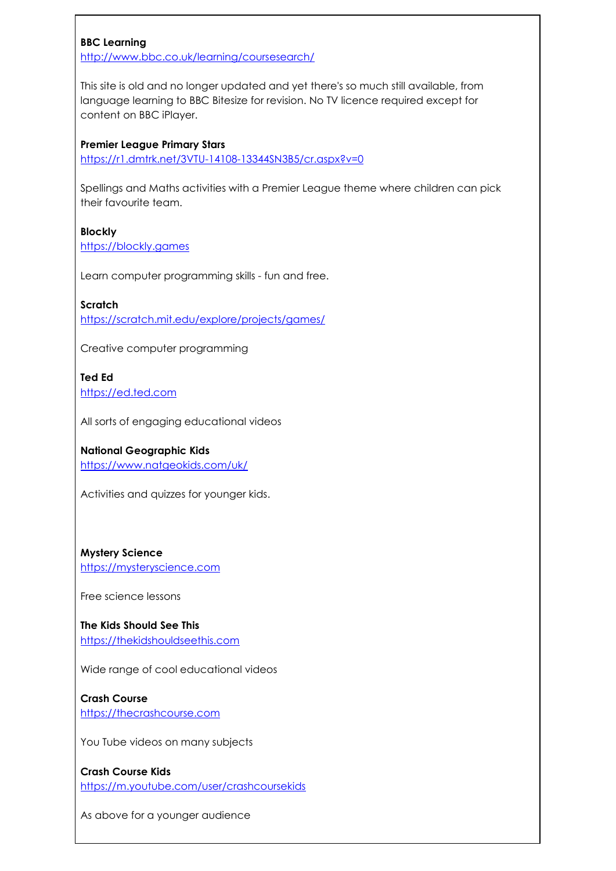### BBC Learning

http://www.bbc.co.uk/learning/coursesearch/

This site is old and no longer updated and yet there's so much still available, from language learning to BBC Bitesize for revision. No TV licence required except for content on BBC iPlayer.

#### Premier League Primary Stars

https://r1.dmtrk.net/3VTU-14108-13344SN3B5/cr.aspx?v=0

Spellings and Maths activities with a Premier League theme where children can pick their favourite team.

## Blockly

https://blockly.games

Learn computer programming skills - fun and free.

### **Scratch**

https://scratch.mit.edu/explore/projects/games/

Creative computer programming

# Ted Ed

https://ed.ted.com

All sorts of engaging educational videos

### National Geographic Kids

https://www.natgeokids.com/uk/

Activities and quizzes for younger kids.

### Mystery Science

https://mysteryscience.com

Free science lessons

The Kids Should See This https://thekidshouldseethis.com

Wide range of cool educational videos

# Crash Course

https://thecrashcourse.com

You Tube videos on many subjects

Crash Course Kids https://m.youtube.com/user/crashcoursekids

As above for a younger audience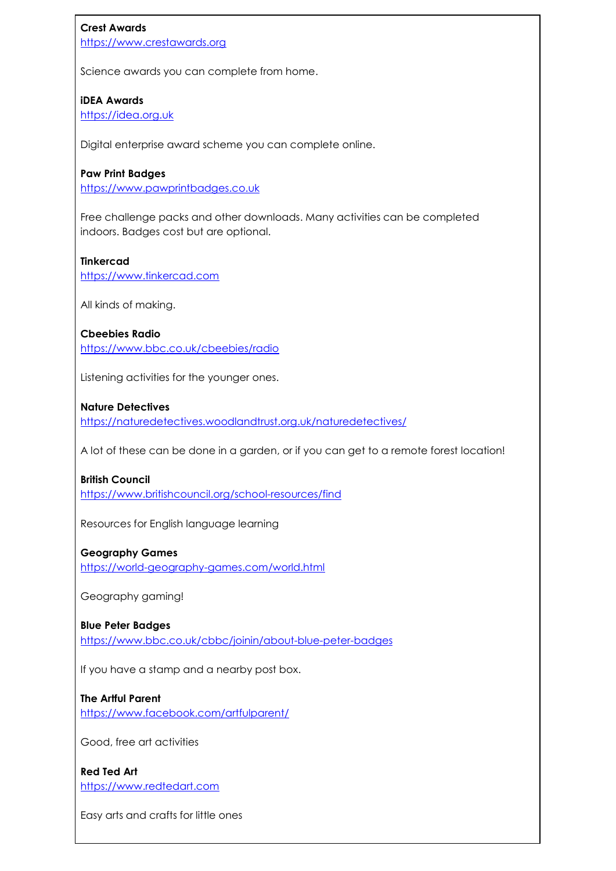### Crest Awards

https://www.crestawards.org

Science awards you can complete from home.

### iDEA Awards

https://idea.org.uk

Digital enterprise award scheme you can complete online.

### Paw Print Badges

https://www.pawprintbadges.co.uk

Free challenge packs and other downloads. Many activities can be completed indoors. Badges cost but are optional.

### Tinkercad

https://www.tinkercad.com

All kinds of making.

Cbeebies Radio https://www.bbc.co.uk/cbeebies/radio

Listening activities for the younger ones.

### Nature Detectives

https://naturedetectives.woodlandtrust.org.uk/naturedetectives/

A lot of these can be done in a garden, or if you can get to a remote forest location!

### British Council

https://www.britishcouncil.org/school-resources/find

Resources for English language learning

#### Geography Games

https://world-geography-games.com/world.html

Geography gaming!

### Blue Peter Badges

https://www.bbc.co.uk/cbbc/joinin/about-blue-peter-badges

If you have a stamp and a nearby post box.

### The Artful Parent

https://www.facebook.com/artfulparent/

Good, free art activities

Red Ted Art https://www.redtedart.com

Easy arts and crafts for little ones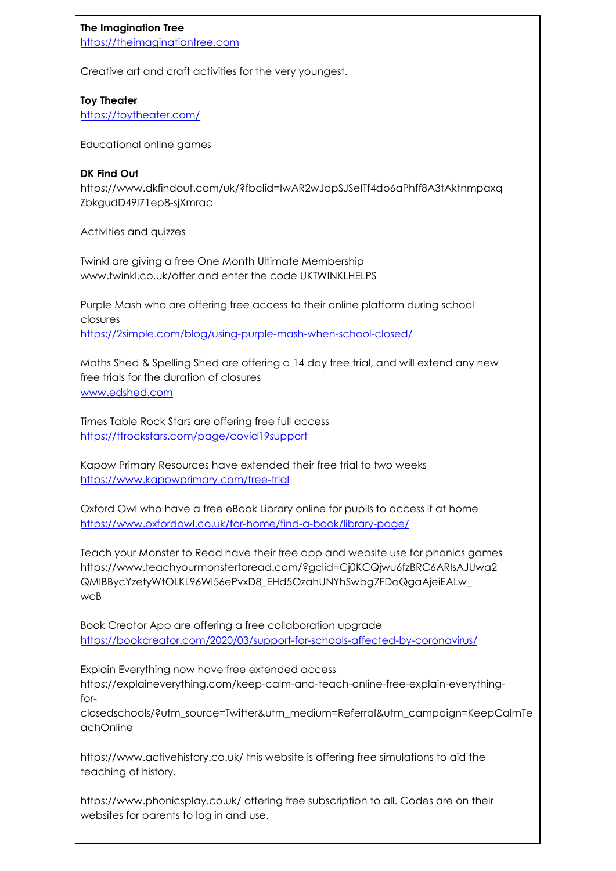## The Imagination Tree

https://theimaginationtree.com

Creative art and craft activities for the very youngest.

## Toy Theater

https://toytheater.com/

Educational online games

### DK Find Out

https://www.dkfindout.com/uk/?fbclid=IwAR2wJdpSJSeITf4do6aPhff8A3tAktnmpaxq ZbkgudD49l71ep8-sjXmrac

Activities and quizzes

Twinkl are giving a free One Month Ultimate Membership www.twinkl.co.uk/offer and enter the code UKTWINKLHELPS

Purple Mash who are offering free access to their online platform during school closures https://2simple.com/blog/using-purple-mash-when-school-closed/

Maths Shed & Spelling Shed are offering a 14 day free trial, and will extend any new free trials for the duration of closures www.edshed.com

Times Table Rock Stars are offering free full access https://ttrockstars.com/page/covid19support

Kapow Primary Resources have extended their free trial to two weeks https://www.kapowprimary.com/free-trial

Oxford Owl who have a free eBook Library online for pupils to access if at home https://www.oxfordowl.co.uk/for-home/find-a-book/library-page/

Teach your Monster to Read have their free app and website use for phonics games https://www.teachyourmonstertoread.com/?gclid=Cj0KCQjwu6fzBRC6ARIsAJUwa2 QMIBBycYzetyWtOLKL96Wl56ePvxD8\_EHd5OzahUNYhSwbg7FDoQgaAjeiEALw\_ wcB

Book Creator App are offering a free collaboration upgrade https://bookcreator.com/2020/03/support-for-schools-affected-by-coronavirus/

Explain Everything now have free extended access https://explaineverything.com/keep-calm-and-teach-online-free-explain-everythingfor-

closedschools/?utm\_source=Twitter&utm\_medium=Referral&utm\_campaign=KeepCalmTe achOnline

https://www.activehistory.co.uk/ this website is offering free simulations to aid the teaching of history.

https://www.phonicsplay.co.uk/ offering free subscription to all. Codes are on their websites for parents to log in and use.